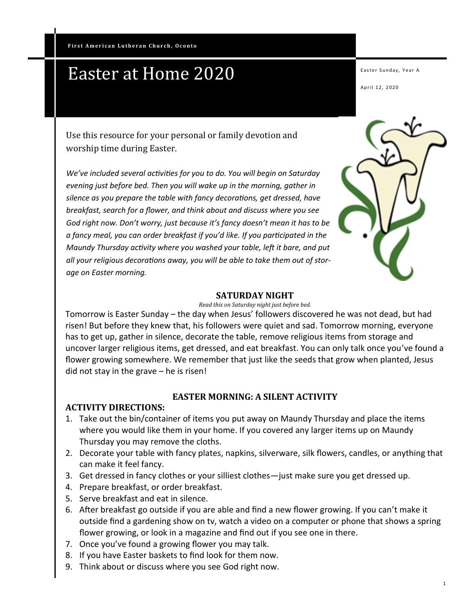# Easter at Home 2020

Easter Sunday, Year A

April 12, 2020

Use this resource for your personal or family devotion and worship time during Easter.

*We've included several activities for you to do. You will begin on Saturday evening just before bed. Then you will wake up in the morning, gather in silence as you prepare the table with fancy decorations, get dressed, have breakfast, search for a flower, and think about and discuss where you see God right now. Don't worry, just because it's fancy doesn't mean it has to be a fancy meal, you can order breakfast if you'd like. If you participated in the Maundy Thursday activity where you washed your table, left it bare, and put all your religious decorations away, you will be able to take them out of storage on Easter morning.*



#### **SATURDAY NIGHT**

*Read this on Saturday night just before bed.*

Tomorrow is Easter Sunday – the day when Jesus' followers discovered he was not dead, but had risen! But before they knew that, his followers were quiet and sad. Tomorrow morning, everyone has to get up, gather in silence, decorate the table, remove religious items from storage and uncover larger religious items, get dressed, and eat breakfast. You can only talk once you've found a flower growing somewhere. We remember that just like the seeds that grow when planted, Jesus did not stay in the grave – he is risen!

#### **EASTER MORNING: A SILENT ACTIVITY**

#### **ACTIVITY DIRECTIONS:**

- 1. Take out the bin/container of items you put away on Maundy Thursday and place the items where you would like them in your home. If you covered any larger items up on Maundy Thursday you may remove the cloths.
- 2. Decorate your table with fancy plates, napkins, silverware, silk flowers, candles, or anything that can make it feel fancy.
- 3. Get dressed in fancy clothes or your silliest clothes—just make sure you get dressed up.
- 4. Prepare breakfast, or order breakfast.
- 5. Serve breakfast and eat in silence.
- 6. After breakfast go outside if you are able and find a new flower growing. If you can't make it outside find a gardening show on tv, watch a video on a computer or phone that shows a spring flower growing, or look in a magazine and find out if you see one in there.
- 7. Once you've found a growing flower you may talk.
- 8. If you have Easter baskets to find look for them now.
- 9. Think about or discuss where you see God right now.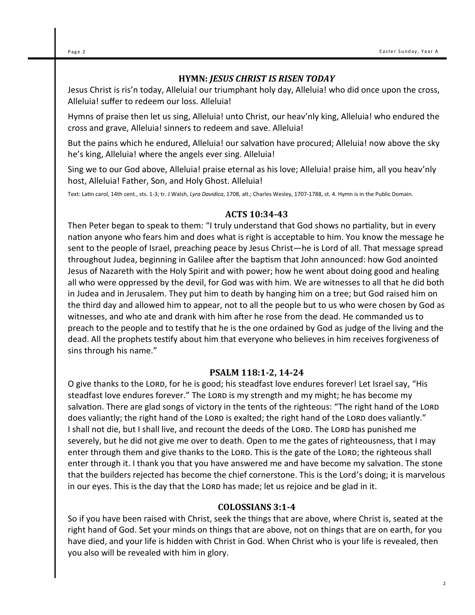## **HYMN:** *JESUS CHRIST IS RISEN TODAY*

Jesus Christ is ris'n today, Alleluia! our triumphant holy day, Alleluia! who did once upon the cross, Alleluia! suffer to redeem our loss. Alleluia!

Hymns of praise then let us sing, Alleluia! unto Christ, our heav'nly king, Alleluia! who endured the cross and grave, Alleluia! sinners to redeem and save. Alleluia!

But the pains which he endured, Alleluia! our salvation have procured; Alleluia! now above the sky he's king, Alleluia! where the angels ever sing. Alleluia!

Sing we to our God above, Alleluia! praise eternal as his love; Alleluia! praise him, all you heav'nly host, Alleluia! Father, Son, and Holy Ghost. Alleluia!

Text: Latin carol, 14th cent., sts. 1-3; tr. J Walsh, *Lyra Davidica*, 1708, alt.; Charles Wesley, 1707-1788, st. 4. Hymn is in the Public Domain.

## **ACTS 10:34-43**

Jesus of Nazareth with the Holy Spirit and with power; how he went about doing good and healing Then Peter began to speak to them: "I truly understand that God shows no partiality, but in every nation anyone who fears him and does what is right is acceptable to him. You know the message he sent to the people of Israel, preaching peace by Jesus Christ—he is Lord of all. That message spread throughout Judea, beginning in Galilee after the baptism that John announced: how God anointed all who were oppressed by the devil, for God was with him. We are witnesses to all that he did both in Judea and in Jerusalem. They put him to death by hanging him on a tree; but God raised him on the third day and allowed him to appear, not to all the people but to us who were chosen by God as witnesses, and who ate and drank with him after he rose from the dead. He commanded us to preach to the people and to testify that he is the one ordained by God as judge of the living and the dead. All the prophets testify about him that everyone who believes in him receives forgiveness of sins through his name."

### **PSALM 118:1-2, 14-24**

O give thanks to the LORD, for he is good; his steadfast love endures forever! Let Israel say, "His steadfast love endures forever." The LORD is my strength and my might; he has become my salvation. There are glad songs of victory in the tents of the righteous: "The right hand of the LORD does valiantly; the right hand of the LORD is exalted; the right hand of the LORD does valiantly." I shall not die, but I shall live, and recount the deeds of the LORD. The LORD has punished me severely, but he did not give me over to death. Open to me the gates of righteousness, that I may enter through them and give thanks to the LORD. This is the gate of the LORD; the righteous shall enter through it. I thank you that you have answered me and have become my salvation. The stone that the builders rejected has become the chief cornerstone. This is the Lord's doing; it is marvelous in our eyes. This is the day that the LORD has made; let us rejoice and be glad in it.

### **COLOSSIANS 3:1-4**

So if you have been raised with Christ, seek the things that are above, where Christ is, seated at the right hand of God. Set your minds on things that are above, not on things that are on earth, for you have died, and your life is hidden with Christ in God. When Christ who is your life is revealed, then you also will be revealed with him in glory.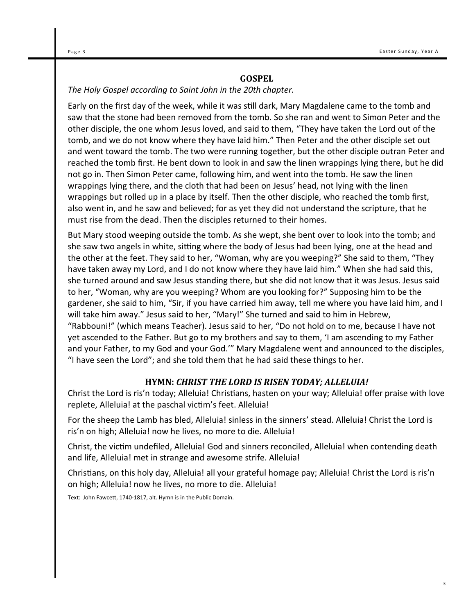#### **GOSPEL**

*The Holy Gospel according to Saint John in the 20th chapter.*

Early on the first day of the week, while it was still dark, Mary Magdalene came to the tomb and saw that the stone had been removed from the tomb. So she ran and went to Simon Peter and the other disciple, the one whom Jesus loved, and said to them, "They have taken the Lord out of the tomb, and we do not know where they have laid him." Then Peter and the other disciple set out and went toward the tomb. The two were running together, but the other disciple outran Peter and reached the tomb first. He bent down to look in and saw the linen wrappings lying there, but he did not go in. Then Simon Peter came, following him, and went into the tomb. He saw the linen wrappings lying there, and the cloth that had been on Jesus' head, not lying with the linen wrappings but rolled up in a place by itself. Then the other disciple, who reached the tomb first, also went in, and he saw and believed; for as yet they did not understand the scripture, that he must rise from the dead. Then the disciples returned to their homes.

have taken away my Lord, and I do not know where they have laid him." When she had said this, But Mary stood weeping outside the tomb. As she wept, she bent over to look into the tomb; and she saw two angels in white, sitting where the body of Jesus had been lying, one at the head and the other at the feet. They said to her, "Woman, why are you weeping?" She said to them, "They she turned around and saw Jesus standing there, but she did not know that it was Jesus. Jesus said to her, "Woman, why are you weeping? Whom are you looking for?" Supposing him to be the gardener, she said to him, "Sir, if you have carried him away, tell me where you have laid him, and I will take him away." Jesus said to her, "Mary!" She turned and said to him in Hebrew, "Rabbouni!" (which means Teacher). Jesus said to her, "Do not hold on to me, because I have not yet ascended to the Father. But go to my brothers and say to them, 'I am ascending to my Father and your Father, to my God and your God.'" Mary Magdalene went and announced to the disciples, "I have seen the Lord"; and she told them that he had said these things to her.

# **HYMN:** *CHRIST THE LORD IS RISEN TODAY; ALLELUIA!*

Christ the Lord is ris'n today; Alleluia! Christians, hasten on your way; Alleluia! offer praise with love replete, Alleluia! at the paschal victim's feet. Alleluia!

For the sheep the Lamb has bled, Alleluia! sinless in the sinners' stead. Alleluia! Christ the Lord is ris'n on high; Alleluia! now he lives, no more to die. Alleluia!

Christ, the victim undefiled, Alleluia! God and sinners reconciled, Alleluia! when contending death and life, Alleluia! met in strange and awesome strife. Alleluia!

Christians, on this holy day, Alleluia! all your grateful homage pay; Alleluia! Christ the Lord is ris'n on high; Alleluia! now he lives, no more to die. Alleluia!

Text: John Fawcett, 1740-1817, alt. Hymn is in the Public Domain.